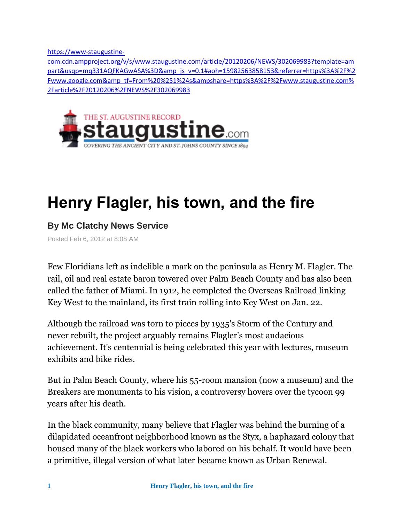[https://www-staugustine-](https://www-staugustine-com.cdn.ampproject.org/v/s/www.staugustine.com/article/20120206/NEWS/302069983?template=ampart&usqp=mq331AQFKAGwASA%3D&_js_v=0.1#aoh=15982563858153&referrer=https%3A%2F%2Fwww.google.com&_tf=From%20%251%24s&share=https%3A%2F%2Fwww.staugustine.com%2Farticle%2F20120206%2FNEWS%2F302069983)

[com.cdn.ampproject.org/v/s/www.staugustine.com/article/20120206/NEWS/302069983?template=am](https://www-staugustine-com.cdn.ampproject.org/v/s/www.staugustine.com/article/20120206/NEWS/302069983?template=ampart&usqp=mq331AQFKAGwASA%3D&_js_v=0.1#aoh=15982563858153&referrer=https%3A%2F%2Fwww.google.com&_tf=From%20%251%24s&share=https%3A%2F%2Fwww.staugustine.com%2Farticle%2F20120206%2FNEWS%2F302069983) part&usqp=mq331AQFKAGwASA%3D&amp js v=0.1#aoh=15982563858153&referrer=https%3A%2F%2 Fwww.google.com&amp tf=From%20%251%24s&ampshare=https%3A%2F%2Fwww.staugustine.com% [2Farticle%2F20120206%2FNEWS%2F302069983](https://www-staugustine-com.cdn.ampproject.org/v/s/www.staugustine.com/article/20120206/NEWS/302069983?template=ampart&usqp=mq331AQFKAGwASA%3D&_js_v=0.1#aoh=15982563858153&referrer=https%3A%2F%2Fwww.google.com&_tf=From%20%251%24s&share=https%3A%2F%2Fwww.staugustine.com%2Farticle%2F20120206%2FNEWS%2F302069983)



# **Henry Flagler, his town, and the fire**

## **By Mc Clatchy News Service**

Posted Feb 6, 2012 at 8:08 AM

Few Floridians left as indelible a mark on the peninsula as Henry M. Flagler. The rail, oil and real estate baron towered over Palm Beach County and has also been called the father of Miami. In 1912, he completed the Overseas Railroad linking Key West to the mainland, its first train rolling into Key West on Jan. 22.

Although the railroad was torn to pieces by 1935's Storm of the Century and never rebuilt, the project arguably remains Flagler's most audacious achievement. It's centennial is being celebrated this year with lectures, museum exhibits and bike rides.

But in Palm Beach County, where his 55-room mansion (now a museum) and the Breakers are monuments to his vision, a controversy hovers over the tycoon 99 years after his death.

In the black community, many believe that Flagler was behind the burning of a dilapidated oceanfront neighborhood known as the Styx, a haphazard colony that housed many of the black workers who labored on his behalf. It would have been a primitive, illegal version of what later became known as Urban Renewal.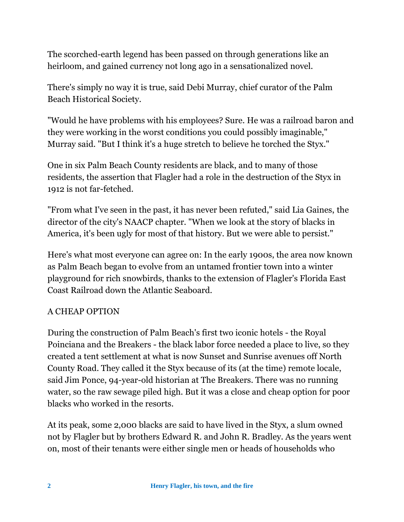The scorched-earth legend has been passed on through generations like an heirloom, and gained currency not long ago in a sensationalized novel.

There's simply no way it is true, said Debi Murray, chief curator of the Palm Beach Historical Society.

"Would he have problems with his employees? Sure. He was a railroad baron and they were working in the worst conditions you could possibly imaginable," Murray said. "But I think it's a huge stretch to believe he torched the Styx."

One in six Palm Beach County residents are black, and to many of those residents, the assertion that Flagler had a role in the destruction of the Styx in 1912 is not far-fetched.

"From what I've seen in the past, it has never been refuted," said Lia Gaines, the director of the city's NAACP chapter. "When we look at the story of blacks in America, it's been ugly for most of that history. But we were able to persist."

Here's what most everyone can agree on: In the early 1900s, the area now known as Palm Beach began to evolve from an untamed frontier town into a winter playground for rich snowbirds, thanks to the extension of Flagler's Florida East Coast Railroad down the Atlantic Seaboard.

### A CHEAP OPTION

During the construction of Palm Beach's first two iconic hotels - the Royal Poinciana and the Breakers - the black labor force needed a place to live, so they created a tent settlement at what is now Sunset and Sunrise avenues off North County Road. They called it the Styx because of its (at the time) remote locale, said Jim Ponce, 94-year-old historian at The Breakers. There was no running water, so the raw sewage piled high. But it was a close and cheap option for poor blacks who worked in the resorts.

At its peak, some 2,000 blacks are said to have lived in the Styx, a slum owned not by Flagler but by brothers Edward R. and John R. Bradley. As the years went on, most of their tenants were either single men or heads of households who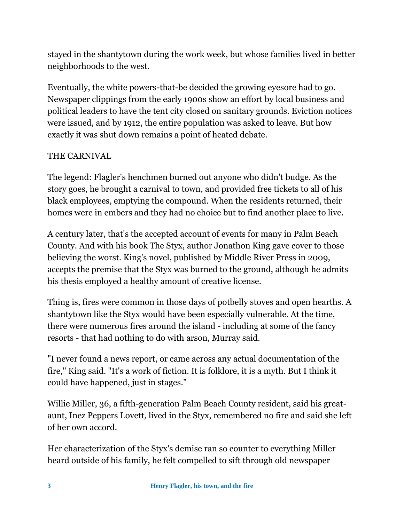stayed in the shantytown during the work week, but whose families lived in better neighborhoods to the west.

Eventually, the white powers-that-be decided the growing eyesore had to go. Newspaper clippings from the early 1900s show an effort by local business and political leaders to have the tent city closed on sanitary grounds. Eviction notices were issued, and by 1912, the entire population was asked to leave. But how exactly it was shut down remains a point of heated debate.

### THE CARNIVAL

The legend: Flagler's henchmen burned out anyone who didn't budge. As the story goes, he brought a carnival to town, and provided free tickets to all of his black employees, emptying the compound. When the residents returned, their homes were in embers and they had no choice but to find another place to live.

A century later, that's the accepted account of events for many in Palm Beach County. And with his book The Styx, author Jonathon King gave cover to those believing the worst. King's novel, published by Middle River Press in 2009, accepts the premise that the Styx was burned to the ground, although he admits his thesis employed a healthy amount of creative license.

Thing is, fires were common in those days of potbelly stoves and open hearths. A shantytown like the Styx would have been especially vulnerable. At the time, there were numerous fires around the island - including at some of the fancy resorts - that had nothing to do with arson, Murray said.

"I never found a news report, or came across any actual documentation of the fire," King said. "It's a work of fiction. It is folklore, it is a myth. But I think it could have happened, just in stages."

Willie Miller, 36, a fifth-generation Palm Beach County resident, said his greataunt, Inez Peppers Lovett, lived in the Styx, remembered no fire and said she left of her own accord.

Her characterization of the Styx's demise ran so counter to everything Miller heard outside of his family, he felt compelled to sift through old newspaper